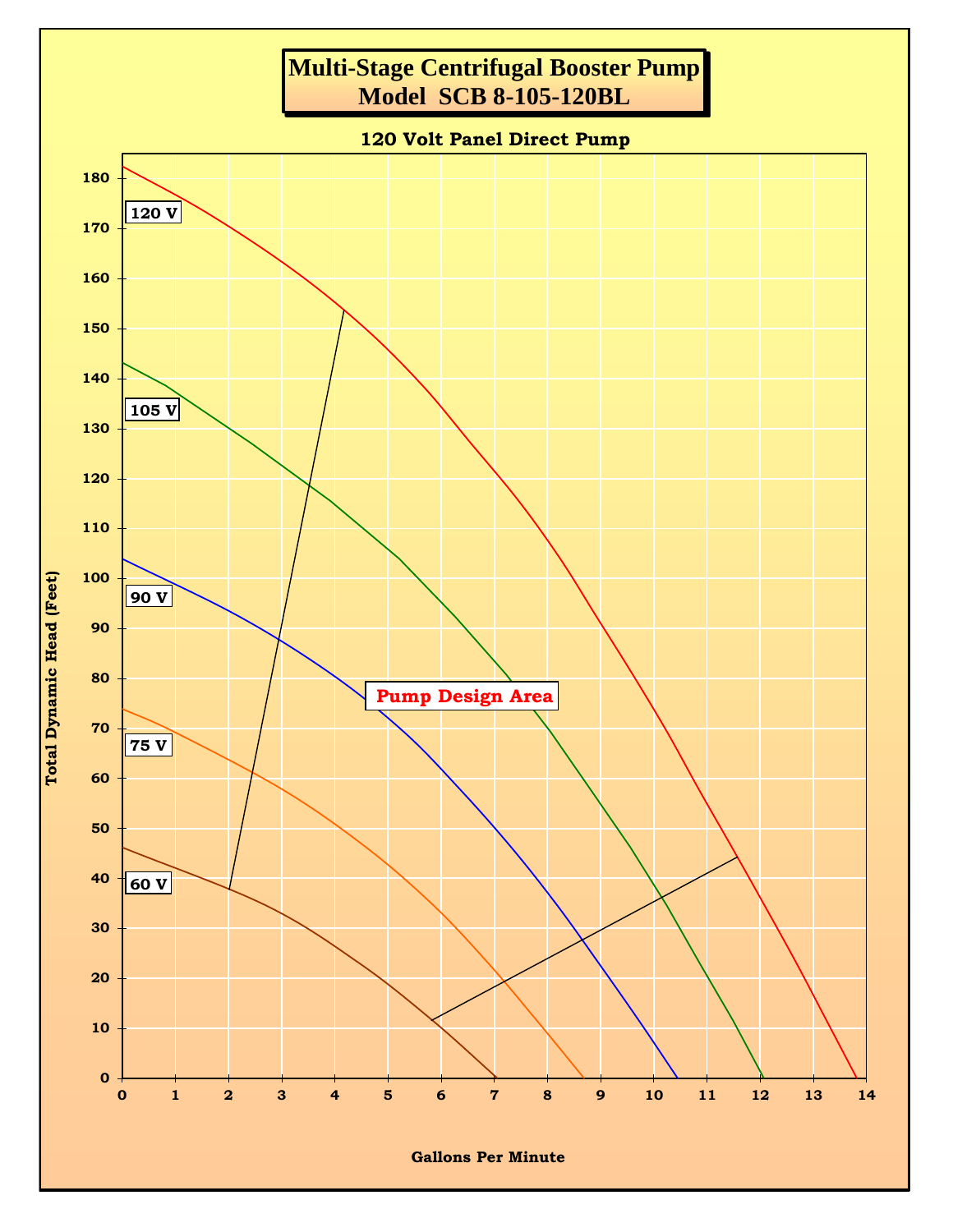